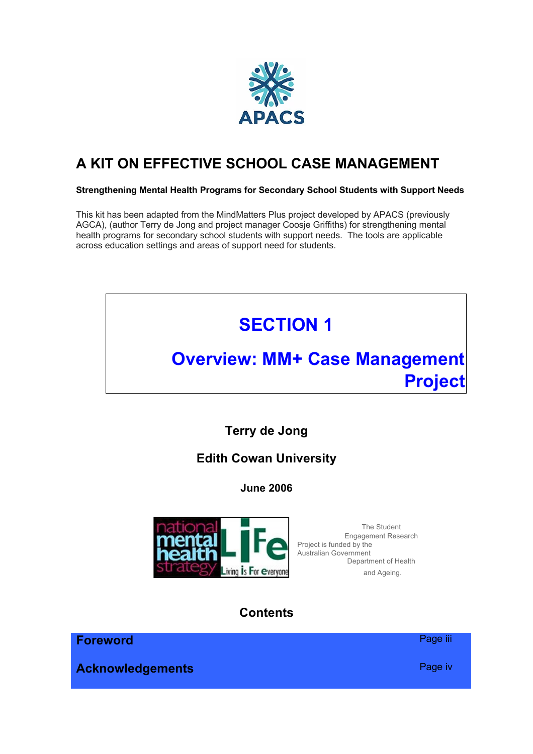

# **A KIT ON EFFECTIVE SCHOOL CASE MANAGEMENT**

#### **Strengthening Mental Health Programs for Secondary School Students with Support Needs**

This kit has been adapted from the MindMatters Plus project developed by APACS (previously AGCA), (author Terry de Jong and project manager Coosje Griffiths) for strengthening mental health programs for secondary school students with support needs. The tools are applicable across education settings and areas of support need for students.



**Acknowledgements Page iv**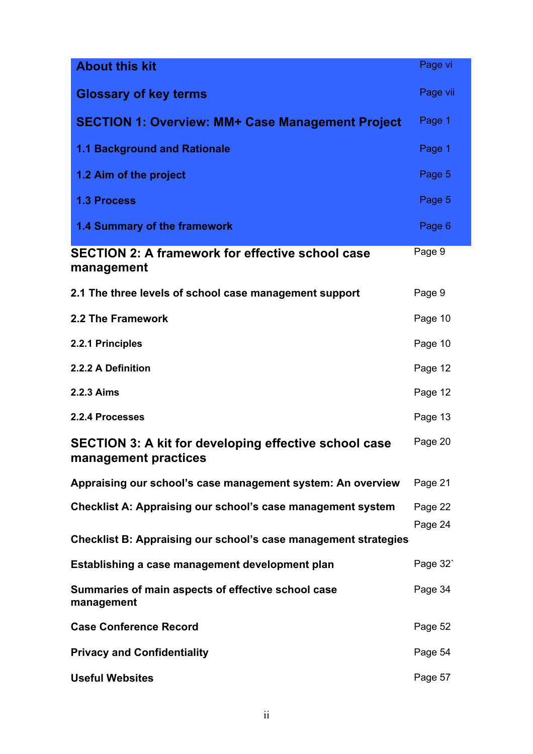| <b>About this kit</b>                                                                | Page vi  |
|--------------------------------------------------------------------------------------|----------|
| <b>Glossary of key terms</b>                                                         | Page vii |
| <b>SECTION 1: Overview: MM+ Case Management Project</b>                              | Page 1   |
| <b>1.1 Background and Rationale</b>                                                  | Page 1   |
| 1.2 Aim of the project                                                               | Page 5   |
| <b>1.3 Process</b>                                                                   | Page 5   |
| 1.4 Summary of the framework                                                         | Page 6   |
| <b>SECTION 2: A framework for effective school case</b><br>management                | Page 9   |
| 2.1 The three levels of school case management support                               | Page 9   |
| 2.2 The Framework                                                                    | Page 10  |
| 2.2.1 Principles                                                                     | Page 10  |
| 2.2.2 A Definition                                                                   | Page 12  |
| 2.2.3 Aims                                                                           | Page 12  |
| 2.2.4 Processes                                                                      | Page 13  |
| <b>SECTION 3: A kit for developing effective school case</b><br>management practices | Page 20  |
| Appraising our school's case management system: An overview                          | Page 21  |
| <b>Checklist A: Appraising our school's case management system</b>                   | Page 22  |
| <b>Checklist B: Appraising our school's case management strategies</b>               | Page 24  |
| Establishing a case management development plan                                      | Page 32  |
| Summaries of main aspects of effective school case<br>management                     | Page 34  |
| <b>Case Conference Record</b>                                                        | Page 52  |
| <b>Privacy and Confidentiality</b>                                                   | Page 54  |
| <b>Useful Websites</b>                                                               | Page 57  |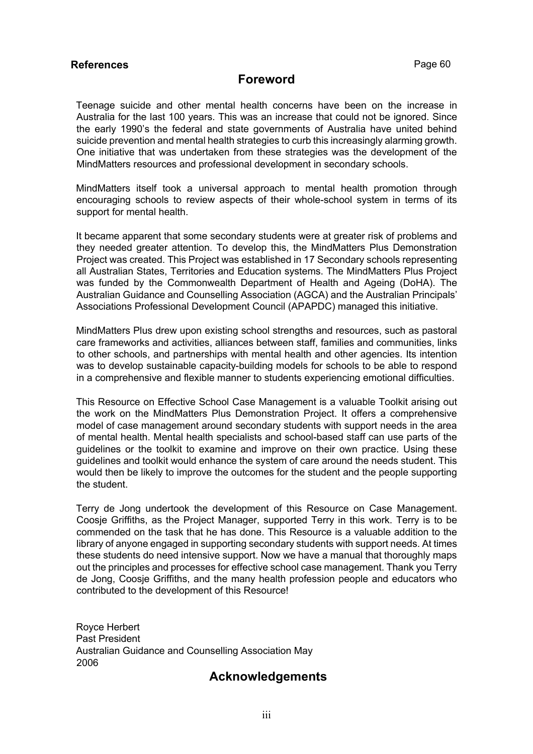#### **References Page 60**

# **Foreword**

Teenage suicide and other mental health concerns have been on the increase in Australia for the last 100 years. This was an increase that could not be ignored. Since the early 1990's the federal and state governments of Australia have united behind suicide prevention and mental health strategies to curb this increasingly alarming growth. One initiative that was undertaken from these strategies was the development of the MindMatters resources and professional development in secondary schools.

MindMatters itself took a universal approach to mental health promotion through encouraging schools to review aspects of their whole-school system in terms of its support for mental health.

It became apparent that some secondary students were at greater risk of problems and they needed greater attention. To develop this, the MindMatters Plus Demonstration Project was created. This Project was established in 17 Secondary schools representing all Australian States, Territories and Education systems. The MindMatters Plus Project was funded by the Commonwealth Department of Health and Ageing (DoHA). The Australian Guidance and Counselling Association (AGCA) and the Australian Principals' Associations Professional Development Council (APAPDC) managed this initiative.

MindMatters Plus drew upon existing school strengths and resources, such as pastoral care frameworks and activities, alliances between staff, families and communities, links to other schools, and partnerships with mental health and other agencies. Its intention was to develop sustainable capacity-building models for schools to be able to respond in a comprehensive and flexible manner to students experiencing emotional difficulties.

This Resource on Effective School Case Management is a valuable Toolkit arising out the work on the MindMatters Plus Demonstration Project. It offers a comprehensive model of case management around secondary students with support needs in the area of mental health. Mental health specialists and school-based staff can use parts of the guidelines or the toolkit to examine and improve on their own practice. Using these guidelines and toolkit would enhance the system of care around the needs student. This would then be likely to improve the outcomes for the student and the people supporting the student.

Terry de Jong undertook the development of this Resource on Case Management. Coosje Griffiths, as the Project Manager, supported Terry in this work. Terry is to be commended on the task that he has done. This Resource is a valuable addition to the library of anyone engaged in supporting secondary students with support needs. At times these students do need intensive support. Now we have a manual that thoroughly maps out the principles and processes for effective school case management. Thank you Terry de Jong, Coosje Griffiths, and the many health profession people and educators who contributed to the development of this Resource!

Royce Herbert Past President Australian Guidance and Counselling Association May 2006

# **Acknowledgements**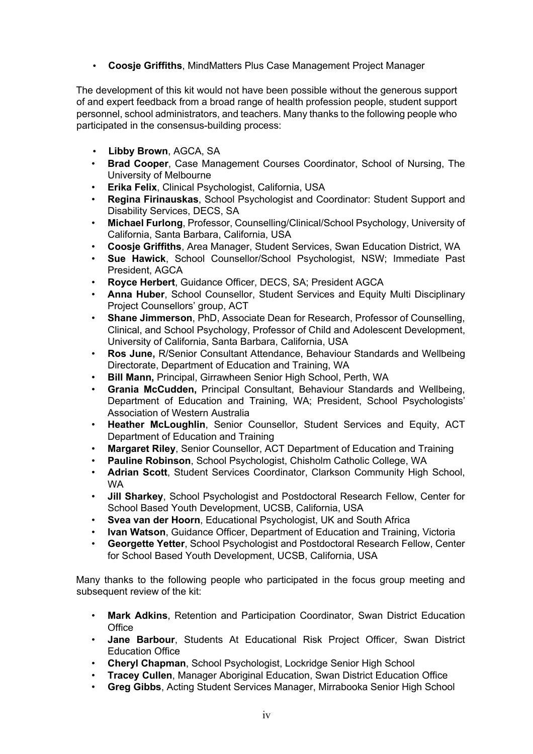• **Coosje Griffiths**, MindMatters Plus Case Management Project Manager

The development of this kit would not have been possible without the generous support of and expert feedback from a broad range of health profession people, student support personnel, school administrators, and teachers. Many thanks to the following people who participated in the consensus-building process:

- **Libby Brown**, AGCA, SA
- **Brad Cooper**, Case Management Courses Coordinator, School of Nursing, The University of Melbourne
- **Erika Felix**, Clinical Psychologist, California, USA
- **Regina Firinauskas**, School Psychologist and Coordinator: Student Support and Disability Services, DECS, SA
- **Michael Furlong**, Professor, Counselling/Clinical/School Psychology, University of California, Santa Barbara, California, USA
- **Coosje Griffiths**, Area Manager, Student Services, Swan Education District, WA
- **Sue Hawick**, School Counsellor/School Psychologist, NSW; Immediate Past President, AGCA
- **Royce Herbert**, Guidance Officer, DECS, SA; President AGCA
- **Anna Huber**, School Counsellor, Student Services and Equity Multi Disciplinary Project Counsellors' group, ACT
- **Shane Jimmerson**, PhD, Associate Dean for Research, Professor of Counselling, Clinical, and School Psychology, Professor of Child and Adolescent Development, University of California, Santa Barbara, California, USA
- **Ros June,** R/Senior Consultant Attendance, Behaviour Standards and Wellbeing Directorate, Department of Education and Training, WA
- **Bill Mann,** Principal, Girrawheen Senior High School, Perth, WA
- **Grania McCudden,** Principal Consultant, Behaviour Standards and Wellbeing, Department of Education and Training, WA; President, School Psychologists' Association of Western Australia
- **Heather McLoughlin**, Senior Counsellor, Student Services and Equity, ACT Department of Education and Training
- **Margaret Riley**, Senior Counsellor, ACT Department of Education and Training
- **Pauline Robinson**, School Psychologist, Chisholm Catholic College, WA
- **Adrian Scott**, Student Services Coordinator, Clarkson Community High School, WA
- **Jill Sharkey**, School Psychologist and Postdoctoral Research Fellow, Center for School Based Youth Development, UCSB, California, USA
- **Svea van der Hoorn**, Educational Psychologist, UK and South Africa
- **Ivan Watson, Guidance Officer, Department of Education and Training, Victoria**
- **Georgette Yetter**, School Psychologist and Postdoctoral Research Fellow, Center for School Based Youth Development, UCSB, California, USA

Many thanks to the following people who participated in the focus group meeting and subsequent review of the kit:

- **Mark Adkins**, Retention and Participation Coordinator, Swan District Education **Office**
- **Jane Barbour**, Students At Educational Risk Project Officer, Swan District Education Office
- **Cheryl Chapman**, School Psychologist, Lockridge Senior High School
- **Tracey Cullen**, Manager Aboriginal Education, Swan District Education Office
- **Greg Gibbs**, Acting Student Services Manager, Mirrabooka Senior High School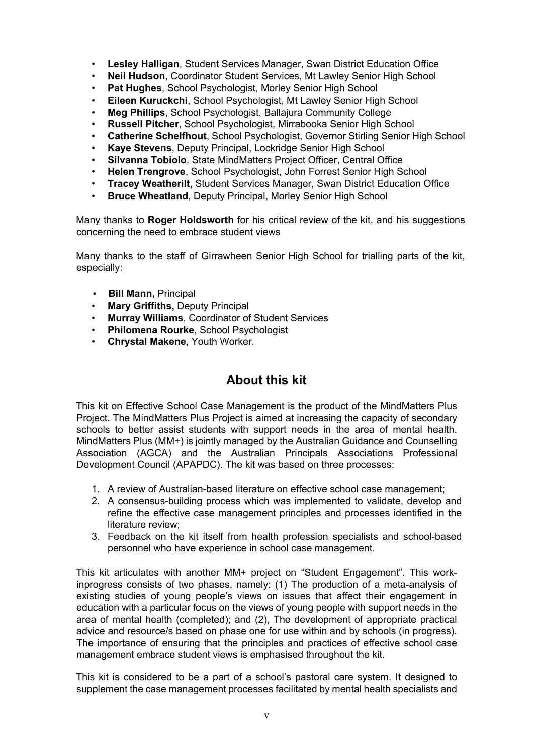- **Lesley Halligan**, Student Services Manager, Swan District Education Office
- **Neil Hudson**, Coordinator Student Services, Mt Lawley Senior High School
- **Pat Hughes, School Psychologist, Morley Senior High School**
- **Eileen Kuruckchi**, School Psychologist, Mt Lawley Senior High School
- **Meg Phillips**, School Psychologist, Ballajura Community College
- **Russell Pitcher**, School Psychologist, Mirrabooka Senior High School
- **Catherine Schelfhout**, School Psychologist, Governor Stirling Senior High School
- **Kaye Stevens**, Deputy Principal, Lockridge Senior High School
- **Silvanna Tobiolo**, State MindMatters Project Officer, Central Office
- **Helen Trengrove**, School Psychologist, John Forrest Senior High School
- **Tracey Weatherilt**, Student Services Manager, Swan District Education Office
- **Bruce Wheatland**, Deputy Principal, Morley Senior High School

Many thanks to **Roger Holdsworth** for his critical review of the kit, and his suggestions concerning the need to embrace student views

Many thanks to the staff of Girrawheen Senior High School for trialling parts of the kit, especially:

- **Bill Mann,** Principal
- **Mary Griffiths,** Deputy Principal
- **Murray Williams**, Coordinator of Student Services
- **Philomena Rourke**, School Psychologist
- **Chrystal Makene**, Youth Worker.

# **About this kit**

This kit on Effective School Case Management is the product of the MindMatters Plus Project. The MindMatters Plus Project is aimed at increasing the capacity of secondary schools to better assist students with support needs in the area of mental health. MindMatters Plus (MM+) is jointly managed by the Australian Guidance and Counselling Association (AGCA) and the Australian Principals Associations Professional Development Council (APAPDC). The kit was based on three processes:

- 1. A review of Australian-based literature on effective school case management;
- 2. A consensus-building process which was implemented to validate, develop and refine the effective case management principles and processes identified in the literature review;
- 3. Feedback on the kit itself from health profession specialists and school-based personnel who have experience in school case management.

This kit articulates with another MM+ project on "Student Engagement". This workinprogress consists of two phases, namely: (1) The production of a meta-analysis of existing studies of young people's views on issues that affect their engagement in education with a particular focus on the views of young people with support needs in the area of mental health (completed); and (2), The development of appropriate practical advice and resource/s based on phase one for use within and by schools (in progress). The importance of ensuring that the principles and practices of effective school case management embrace student views is emphasised throughout the kit.

This kit is considered to be a part of a school's pastoral care system. It designed to supplement the case management processes facilitated by mental health specialists and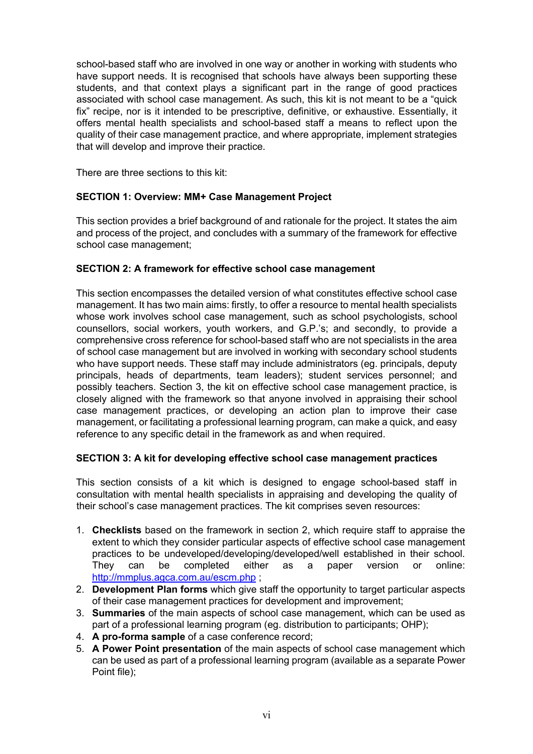school-based staff who are involved in one way or another in working with students who have support needs. It is recognised that schools have always been supporting these students, and that context plays a significant part in the range of good practices associated with school case management. As such, this kit is not meant to be a "quick fix" recipe, nor is it intended to be prescriptive, definitive, or exhaustive. Essentially, it offers mental health specialists and school-based staff a means to reflect upon the quality of their case management practice, and where appropriate, implement strategies that will develop and improve their practice.

There are three sections to this kit:

# **SECTION 1: Overview: MM+ Case Management Project**

This section provides a brief background of and rationale for the project. It states the aim and process of the project, and concludes with a summary of the framework for effective school case management;

#### **SECTION 2: A framework for effective school case management**

This section encompasses the detailed version of what constitutes effective school case management. It has two main aims: firstly, to offer a resource to mental health specialists whose work involves school case management, such as school psychologists, school counsellors, social workers, youth workers, and G.P.'s; and secondly, to provide a comprehensive cross reference for school-based staff who are not specialists in the area of school case management but are involved in working with secondary school students who have support needs. These staff may include administrators (eg. principals, deputy principals, heads of departments, team leaders); student services personnel; and possibly teachers. Section 3, the kit on effective school case management practice, is closely aligned with the framework so that anyone involved in appraising their school case management practices, or developing an action plan to improve their case management, or facilitating a professional learning program, can make a quick, and easy reference to any specific detail in the framework as and when required.

#### **SECTION 3: A kit for developing effective school case management practices**

This section consists of a kit which is designed to engage school-based staff in consultation with mental health specialists in appraising and developing the quality of their school's case management practices. The kit comprises seven resources:

- 1. **Checklists** based on the framework in section 2, which require staff to appraise the extent to which they consider particular aspects of effective school case management practices to be undeveloped/developing/developed/well established in their school. They can be completed either as a paper version or online: http://mmplus.agca.com.au/escm.php ;
- 2. **Development Plan forms** which give staff the opportunity to target particular aspects of their case management practices for development and improvement;
- 3. **Summaries** of the main aspects of school case management, which can be used as part of a professional learning program (eg. distribution to participants; OHP);
- 4. **A pro-forma sample** of a case conference record;
- 5. **A Power Point presentation** of the main aspects of school case management which can be used as part of a professional learning program (available as a separate Power Point file);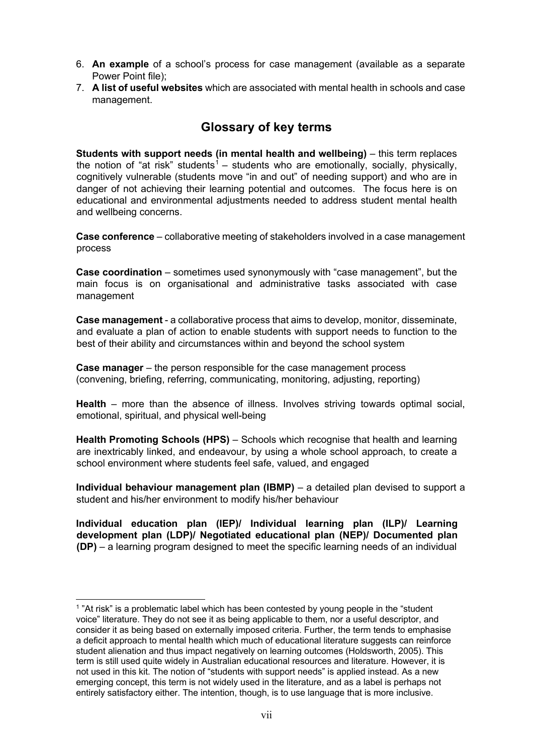- 6. **An example** of a school's process for case management (available as a separate Power Point file);
- 7. **A list of useful websites** which are associated with mental health in schools and case management.

# **Glossary of key terms**

**Students with support needs (in mental health and wellbeing)** – this term replaces the notion of "at risk" students<sup>1</sup> – students who are emotionally, socially, physically, cognitively vulnerable (students move "in and out" of needing support) and who are in danger of not achieving their learning potential and outcomes. The focus here is on educational and environmental adjustments needed to address student mental health and wellbeing concerns.

**Case conference** – collaborative meeting of stakeholders involved in a case management process

**Case coordination** – sometimes used synonymously with "case management", but the main focus is on organisational and administrative tasks associated with case management

**Case management** - a collaborative process that aims to develop, monitor, disseminate, and evaluate a plan of action to enable students with support needs to function to the best of their ability and circumstances within and beyond the school system

**Case manager** – the person responsible for the case management process (convening, briefing, referring, communicating, monitoring, adjusting, reporting)

**Health** – more than the absence of illness. Involves striving towards optimal social, emotional, spiritual, and physical well-being

**Health Promoting Schools (HPS)** – Schools which recognise that health and learning are inextricably linked, and endeavour, by using a whole school approach, to create a school environment where students feel safe, valued, and engaged

**Individual behaviour management plan (IBMP)** – a detailed plan devised to support a student and his/her environment to modify his/her behaviour

**Individual education plan (IEP)/ Individual learning plan (ILP)/ Learning development plan (LDP)/ Negotiated educational plan (NEP)/ Documented plan (DP)** – a learning program designed to meet the specific learning needs of an individual

 $1$  "At risk" is a problematic label which has been contested by young people in the "student voice" literature. They do not see it as being applicable to them, nor a useful descriptor, and consider it as being based on externally imposed criteria. Further, the term tends to emphasise a deficit approach to mental health which much of educational literature suggests can reinforce student alienation and thus impact negatively on learning outcomes (Holdsworth, 2005). This term is still used quite widely in Australian educational resources and literature. However, it is not used in this kit. The notion of "students with support needs" is applied instead. As a new emerging concept, this term is not widely used in the literature, and as a label is perhaps not entirely satisfactory either. The intention, though, is to use language that is more inclusive.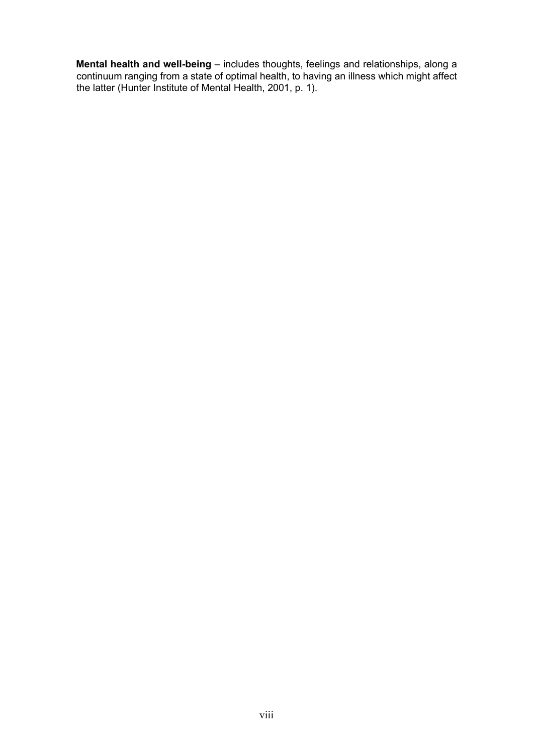**Mental health and well-being** – includes thoughts, feelings and relationships, along a continuum ranging from a state of optimal health, to having an illness which might affect the latter (Hunter Institute of Mental Health, 2001, p. 1).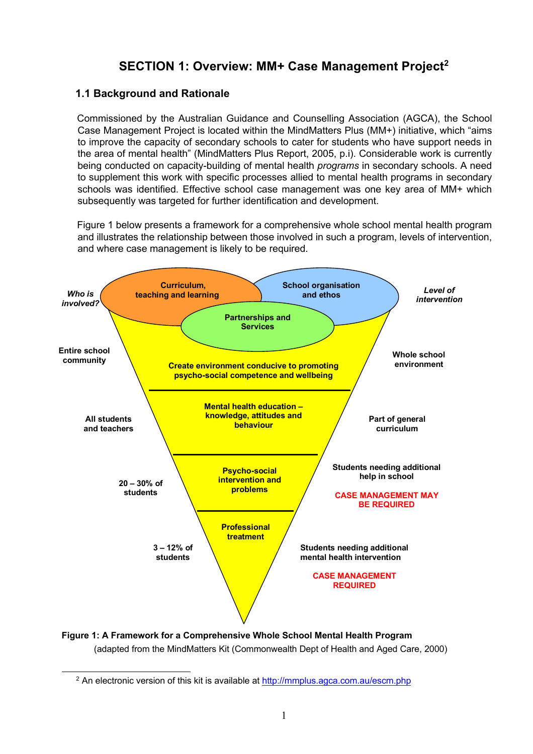# **SECTION 1: Overview: MM+ Case Management Project2**

## **1.1 Background and Rationale**

Commissioned by the Australian Guidance and Counselling Association (AGCA), the School Case Management Project is located within the MindMatters Plus (MM+) initiative, which "aims to improve the capacity of secondary schools to cater for students who have support needs in the area of mental health" (MindMatters Plus Report, 2005, p.i). Considerable work is currently being conducted on capacity-building of mental health *programs* in secondary schools. A need to supplement this work with specific processes allied to mental health programs in secondary schools was identified. Effective school case management was one key area of MM+ which subsequently was targeted for further identification and development.

Figure 1 below presents a framework for a comprehensive whole school mental health program and illustrates the relationship between those involved in such a program, levels of intervention, and where case management is likely to be required.



**Figure 1: A Framework for a Comprehensive Whole School Mental Health Program**  (adapted from the MindMatters Kit (Commonwealth Dept of Health and Aged Care, 2000)

 $<sup>2</sup>$  An electronic version of this kit is available at http://mmplus.agca.com.au/escm.php</sup>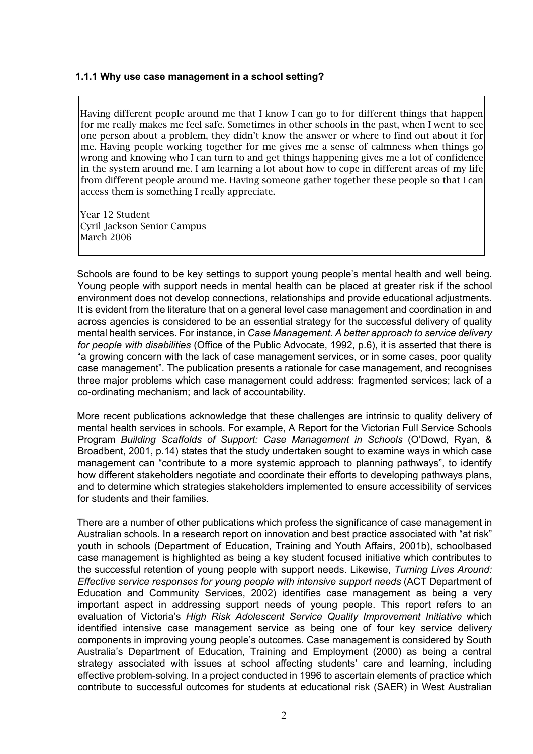#### **1.1.1 Why use case management in a school setting?**

Having different people around me that I know I can go to for different things that happen for me really makes me feel safe. Sometimes in other schools in the past, when I went to see one person about a problem, they didn't know the answer or where to find out about it for me. Having people working together for me gives me a sense of calmness when things go wrong and knowing who I can turn to and get things happening gives me a lot of confidence in the system around me. I am learning a lot about how to cope in different areas of my life from different people around me. Having someone gather together these people so that I can access them is something I really appreciate.

Year 12 Student Cyril Jackson Senior Campus March 2006

Schools are found to be key settings to support young people's mental health and well being. Young people with support needs in mental health can be placed at greater risk if the school environment does not develop connections, relationships and provide educational adjustments. It is evident from the literature that on a general level case management and coordination in and across agencies is considered to be an essential strategy for the successful delivery of quality mental health services. For instance, in *Case Management. A better approach to service delivery for people with disabilities* (Office of the Public Advocate, 1992, p.6), it is asserted that there is "a growing concern with the lack of case management services, or in some cases, poor quality case management". The publication presents a rationale for case management, and recognises three major problems which case management could address: fragmented services; lack of a co-ordinating mechanism; and lack of accountability.

More recent publications acknowledge that these challenges are intrinsic to quality delivery of mental health services in schools. For example, A Report for the Victorian Full Service Schools Program *Building Scaffolds of Support: Case Management in Schools* (O'Dowd, Ryan, & Broadbent, 2001, p.14) states that the study undertaken sought to examine ways in which case management can "contribute to a more systemic approach to planning pathways", to identify how different stakeholders negotiate and coordinate their efforts to developing pathways plans, and to determine which strategies stakeholders implemented to ensure accessibility of services for students and their families.

There are a number of other publications which profess the significance of case management in Australian schools. In a research report on innovation and best practice associated with "at risk" youth in schools (Department of Education, Training and Youth Affairs, 2001b), schoolbased case management is highlighted as being a key student focused initiative which contributes to the successful retention of young people with support needs. Likewise, *Turning Lives Around: Effective service responses for young people with intensive support needs* (ACT Department of Education and Community Services, 2002) identifies case management as being a very important aspect in addressing support needs of young people. This report refers to an evaluation of Victoria's *High Risk Adolescent Service Quality Improvement Initiative* which identified intensive case management service as being one of four key service delivery components in improving young people's outcomes. Case management is considered by South Australia's Department of Education, Training and Employment (2000) as being a central strategy associated with issues at school affecting students' care and learning, including effective problem-solving. In a project conducted in 1996 to ascertain elements of practice which contribute to successful outcomes for students at educational risk (SAER) in West Australian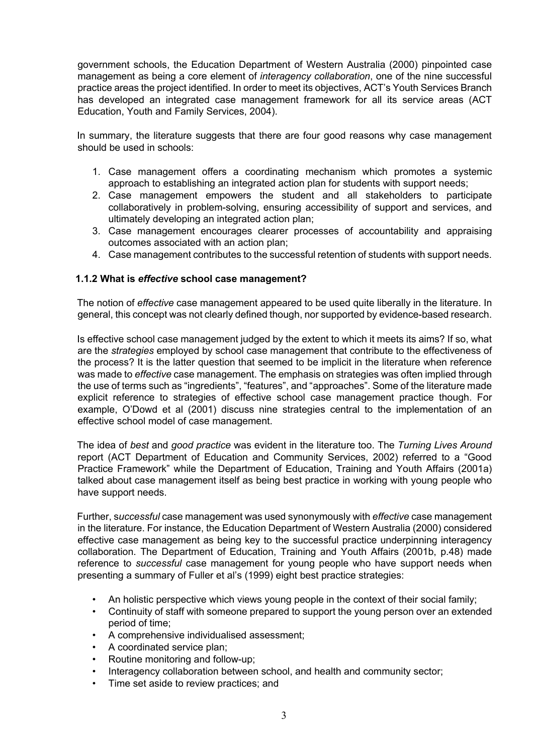government schools, the Education Department of Western Australia (2000) pinpointed case management as being a core element of *interagency collaboration*, one of the nine successful practice areas the project identified. In order to meet its objectives, ACT's Youth Services Branch has developed an integrated case management framework for all its service areas (ACT Education, Youth and Family Services, 2004).

In summary, the literature suggests that there are four good reasons why case management should be used in schools:

- 1. Case management offers a coordinating mechanism which promotes a systemic approach to establishing an integrated action plan for students with support needs;
- 2. Case management empowers the student and all stakeholders to participate collaboratively in problem-solving, ensuring accessibility of support and services, and ultimately developing an integrated action plan;
- 3. Case management encourages clearer processes of accountability and appraising outcomes associated with an action plan;
- 4. Case management contributes to the successful retention of students with support needs.

#### **1.1.2 What is** *effective* **school case management?**

The notion of *effective* case management appeared to be used quite liberally in the literature. In general, this concept was not clearly defined though, nor supported by evidence-based research.

Is effective school case management judged by the extent to which it meets its aims? If so, what are the *strategies* employed by school case management that contribute to the effectiveness of the process? It is the latter question that seemed to be implicit in the literature when reference was made to *effective* case management. The emphasis on strategies was often implied through the use of terms such as "ingredients", "features", and "approaches". Some of the literature made explicit reference to strategies of effective school case management practice though. For example, O'Dowd et al (2001) discuss nine strategies central to the implementation of an effective school model of case management.

The idea of *best* and *good practice* was evident in the literature too. The *Turning Lives Around* report (ACT Department of Education and Community Services, 2002) referred to a "Good Practice Framework" while the Department of Education, Training and Youth Affairs (2001a) talked about case management itself as being best practice in working with young people who have support needs.

Further, s*uccessful* case management was used synonymously with *effective* case management in the literature. For instance, the Education Department of Western Australia (2000) considered effective case management as being key to the successful practice underpinning interagency collaboration. The Department of Education, Training and Youth Affairs (2001b, p.48) made reference to *successful* case management for young people who have support needs when presenting a summary of Fuller et al's (1999) eight best practice strategies:

- An holistic perspective which views young people in the context of their social family;
- Continuity of staff with someone prepared to support the young person over an extended period of time;
- A comprehensive individualised assessment;
- A coordinated service plan;
- Routine monitoring and follow-up;
- Interagency collaboration between school, and health and community sector;
- Time set aside to review practices; and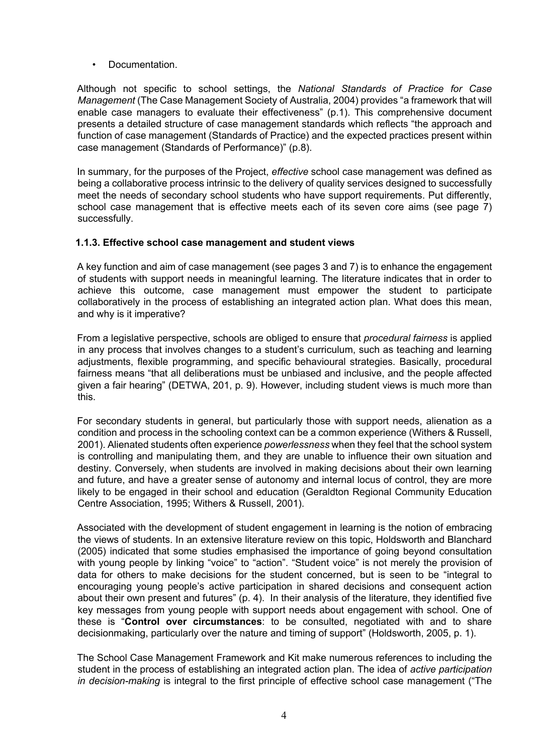• Documentation.

Although not specific to school settings, the *National Standards of Practice for Case Management* (The Case Management Society of Australia, 2004) provides "a framework that will enable case managers to evaluate their effectiveness" (p.1). This comprehensive document presents a detailed structure of case management standards which reflects "the approach and function of case management (Standards of Practice) and the expected practices present within case management (Standards of Performance)" (p.8).

In summary, for the purposes of the Project, *effective* school case management was defined as being a collaborative process intrinsic to the delivery of quality services designed to successfully meet the needs of secondary school students who have support requirements. Put differently, school case management that is effective meets each of its seven core aims (see page 7) successfully.

#### **1.1.3. Effective school case management and student views**

A key function and aim of case management (see pages 3 and 7) is to enhance the engagement of students with support needs in meaningful learning. The literature indicates that in order to achieve this outcome, case management must empower the student to participate collaboratively in the process of establishing an integrated action plan. What does this mean, and why is it imperative?

From a legislative perspective, schools are obliged to ensure that *procedural fairness* is applied in any process that involves changes to a student's curriculum, such as teaching and learning adjustments, flexible programming, and specific behavioural strategies. Basically, procedural fairness means "that all deliberations must be unbiased and inclusive, and the people affected given a fair hearing" (DETWA, 201, p. 9). However, including student views is much more than this.

For secondary students in general, but particularly those with support needs, alienation as a condition and process in the schooling context can be a common experience (Withers & Russell, 2001). Alienated students often experience *powerlessness* when they feel that the school system is controlling and manipulating them, and they are unable to influence their own situation and destiny. Conversely, when students are involved in making decisions about their own learning and future, and have a greater sense of autonomy and internal locus of control, they are more likely to be engaged in their school and education (Geraldton Regional Community Education Centre Association, 1995; Withers & Russell, 2001).

Associated with the development of student engagement in learning is the notion of embracing the views of students. In an extensive literature review on this topic, Holdsworth and Blanchard (2005) indicated that some studies emphasised the importance of going beyond consultation with young people by linking "voice" to "action". "Student voice" is not merely the provision of data for others to make decisions for the student concerned, but is seen to be "integral to encouraging young people's active participation in shared decisions and consequent action about their own present and futures" (p. 4). In their analysis of the literature, they identified five key messages from young people with support needs about engagement with school. One of these is "**Control over circumstances**: to be consulted, negotiated with and to share decisionmaking, particularly over the nature and timing of support" (Holdsworth, 2005, p. 1).

The School Case Management Framework and Kit make numerous references to including the student in the process of establishing an integrated action plan. The idea of *active participation in decision-making* is integral to the first principle of effective school case management ("The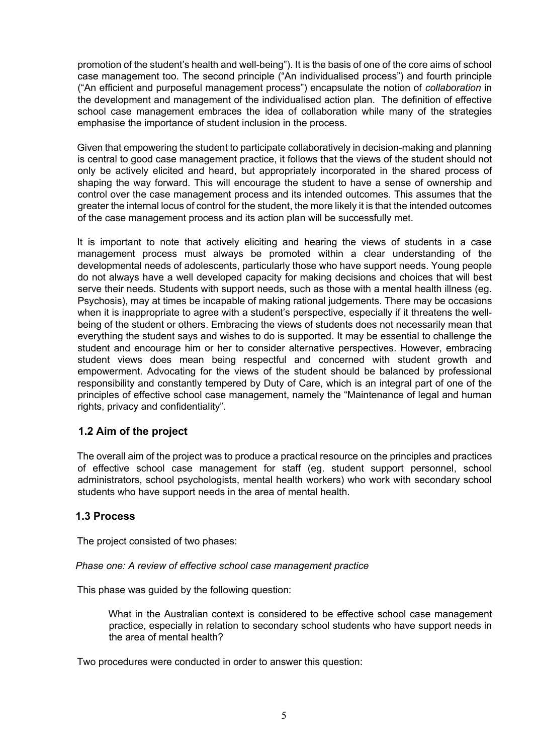promotion of the student's health and well-being"). It is the basis of one of the core aims of school case management too. The second principle ("An individualised process") and fourth principle ("An efficient and purposeful management process") encapsulate the notion of *collaboration* in the development and management of the individualised action plan. The definition of effective school case management embraces the idea of collaboration while many of the strategies emphasise the importance of student inclusion in the process.

Given that empowering the student to participate collaboratively in decision-making and planning is central to good case management practice, it follows that the views of the student should not only be actively elicited and heard, but appropriately incorporated in the shared process of shaping the way forward. This will encourage the student to have a sense of ownership and control over the case management process and its intended outcomes. This assumes that the greater the internal locus of control for the student, the more likely it is that the intended outcomes of the case management process and its action plan will be successfully met.

It is important to note that actively eliciting and hearing the views of students in a case management process must always be promoted within a clear understanding of the developmental needs of adolescents, particularly those who have support needs. Young people do not always have a well developed capacity for making decisions and choices that will best serve their needs. Students with support needs, such as those with a mental health illness (eg. Psychosis), may at times be incapable of making rational judgements. There may be occasions when it is inappropriate to agree with a student's perspective, especially if it threatens the wellbeing of the student or others. Embracing the views of students does not necessarily mean that everything the student says and wishes to do is supported. It may be essential to challenge the student and encourage him or her to consider alternative perspectives. However, embracing student views does mean being respectful and concerned with student growth and empowerment. Advocating for the views of the student should be balanced by professional responsibility and constantly tempered by Duty of Care, which is an integral part of one of the principles of effective school case management, namely the "Maintenance of legal and human rights, privacy and confidentiality".

# **1.2 Aim of the project**

The overall aim of the project was to produce a practical resource on the principles and practices of effective school case management for staff (eg. student support personnel, school administrators, school psychologists, mental health workers) who work with secondary school students who have support needs in the area of mental health.

# **1.3 Process**

The project consisted of two phases:

*Phase one: A review of effective school case management practice*

This phase was guided by the following question:

What in the Australian context is considered to be effective school case management practice, especially in relation to secondary school students who have support needs in the area of mental health?

Two procedures were conducted in order to answer this question: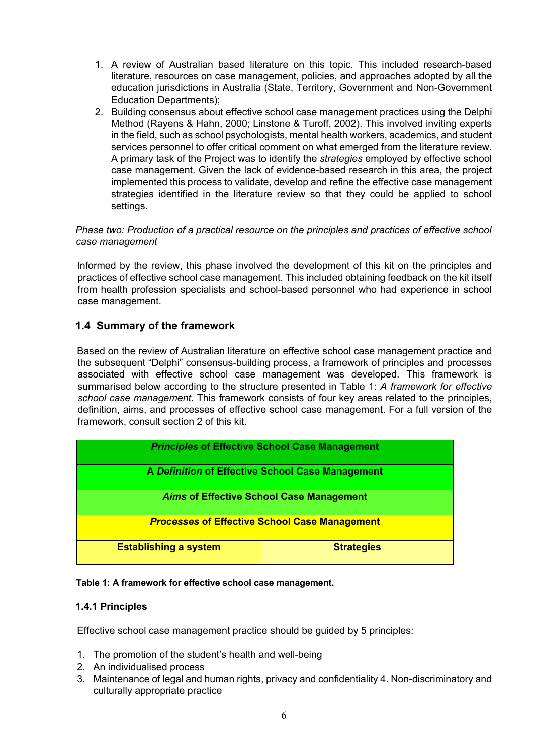- 1. A review of Australian based literature on this topic. This included research-based literature, resources on case management, policies, and approaches adopted by all the education jurisdictions in Australia (State, Territory, Government and Non-Government Education Departments);
- 2. Building consensus about effective school case management practices using the Delphi Method (Rayens & Hahn, 2000; Linstone & Turoff, 2002). This involved inviting experts in the field, such as school psychologists, mental health workers, academics, and student services personnel to offer critical comment on what emerged from the literature review. A primary task of the Project was to identify the *strategies* employed by effective school case management. Given the lack of evidence-based research in this area, the project implemented this process to validate, develop and refine the effective case management strategies identified in the literature review so that they could be applied to school settings.

#### *Phase two: Production of a practical resource on the principles and practices of effective school case management*

Informed by the review, this phase involved the development of this kit on the principles and practices of effective school case management. This included obtaining feedback on the kit itself from health profession specialists and school-based personnel who had experience in school case management.

# **1.4 Summary of the framework**

Based on the review of Australian literature on effective school case management practice and the subsequent "Delphi" consensus-building process, a framework of principles and processes associated with effective school case management was developed. This framework is summarised below according to the structure presented in Table 1: *A framework for effective school case management*. This framework consists of four key areas related to the principles, definition, aims, and processes of effective school case management. For a full version of the framework, consult section 2 of this kit.

| <b>Principles of Effective School Case Management</b> |                   |  |
|-------------------------------------------------------|-------------------|--|
| A Definition of Effective School Case Management      |                   |  |
| <b>Aims of Effective School Case Management</b>       |                   |  |
| <b>Processes of Effective School Case Management</b>  |                   |  |
| <b>Establishing a system</b>                          | <b>Strategies</b> |  |



# **1.4.1 Principles**

Effective school case management practice should be guided by 5 principles:

- 1. The promotion of the student's health and well-being
- 2. An individualised process
- 3. Maintenance of legal and human rights, privacy and confidentiality 4. Non-discriminatory and culturally appropriate practice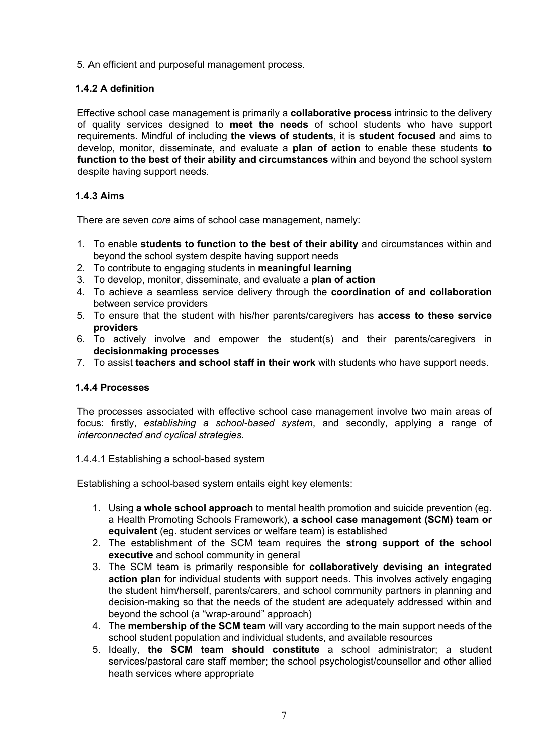5. An efficient and purposeful management process.

# **1.4.2 A definition**

Effective school case management is primarily a **collaborative process** intrinsic to the delivery of quality services designed to **meet the needs** of school students who have support requirements. Mindful of including **the views of students**, it is **student focused** and aims to develop, monitor, disseminate, and evaluate a **plan of action** to enable these students **to function to the best of their ability and circumstances** within and beyond the school system despite having support needs.

# **1.4.3 Aims**

There are seven *core* aims of school case management, namely:

- 1. To enable **students to function to the best of their ability** and circumstances within and beyond the school system despite having support needs
- 2. To contribute to engaging students in **meaningful learning**
- 3. To develop, monitor, disseminate, and evaluate a **plan of action**
- 4. To achieve a seamless service delivery through the **coordination of and collaboration** between service providers
- 5. To ensure that the student with his/her parents/caregivers has **access to these service providers**
- 6. To actively involve and empower the student(s) and their parents/caregivers in **decisionmaking processes**
- 7. To assist **teachers and school staff in their work** with students who have support needs.

# **1.4.4 Processes**

The processes associated with effective school case management involve two main areas of focus: firstly, *establishing a school-based system*, and secondly, applying a range of *interconnected and cyclical strategies*.

#### 1.4.4.1 Establishing a school-based system

Establishing a school-based system entails eight key elements:

- 1. Using **a whole school approach** to mental health promotion and suicide prevention (eg. a Health Promoting Schools Framework), **a school case management (SCM) team or equivalent** (eg. student services or welfare team) is established
- 2. The establishment of the SCM team requires the **strong support of the school executive** and school community in general
- 3. The SCM team is primarily responsible for **collaboratively devising an integrated action plan** for individual students with support needs. This involves actively engaging the student him/herself, parents/carers, and school community partners in planning and decision-making so that the needs of the student are adequately addressed within and beyond the school (a "wrap-around" approach)
- 4. The **membership of the SCM team** will vary according to the main support needs of the school student population and individual students, and available resources
- 5. Ideally, **the SCM team should constitute** a school administrator; a student services/pastoral care staff member; the school psychologist/counsellor and other allied heath services where appropriate